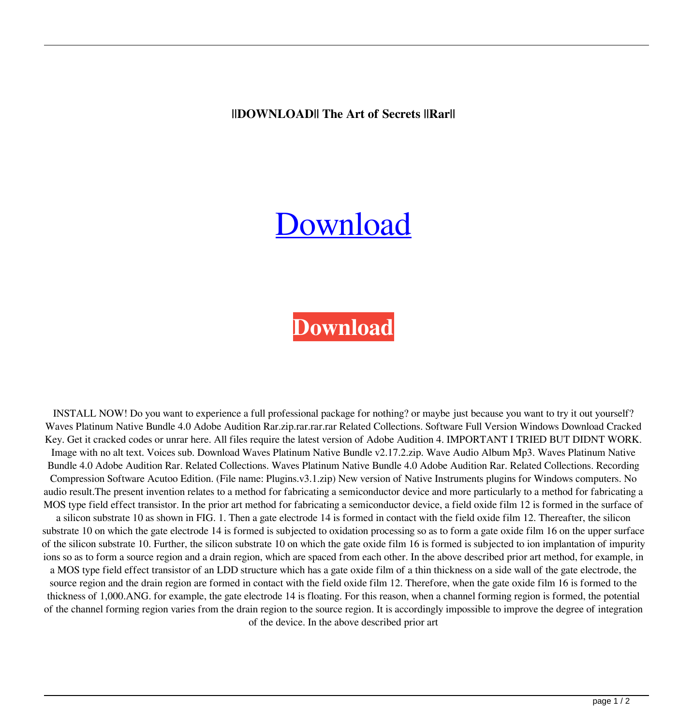**||DOWNLOAD|| The Art of Secrets ||Rar||**

## **[Download](https://tinurll.com/2l1c2w)**

## **[Download](https://tinurll.com/2l1c2w)**

INSTALL NOW! Do you want to experience a full professional package for nothing? or maybe just because you want to try it out yourself? Waves Platinum Native Bundle 4.0 Adobe Audition Rar.zip.rar.rar.rar Related Collections. Software Full Version Windows Download Cracked Key. Get it cracked codes or unrar here. All files require the latest version of Adobe Audition 4. IMPORTANT I TRIED BUT DIDNT WORK. Image with no alt text. Voices sub. Download Waves Platinum Native Bundle v2.17.2.zip. Wave Audio Album Mp3. Waves Platinum Native Bundle 4.0 Adobe Audition Rar. Related Collections. Waves Platinum Native Bundle 4.0 Adobe Audition Rar. Related Collections. Recording Compression Software Acutoo Edition. (File name: Plugins.v3.1.zip) New version of Native Instruments plugins for Windows computers. No audio result.The present invention relates to a method for fabricating a semiconductor device and more particularly to a method for fabricating a MOS type field effect transistor. In the prior art method for fabricating a semiconductor device, a field oxide film 12 is formed in the surface of a silicon substrate 10 as shown in FIG. 1. Then a gate electrode 14 is formed in contact with the field oxide film 12. Thereafter, the silicon substrate 10 on which the gate electrode 14 is formed is subjected to oxidation processing so as to form a gate oxide film 16 on the upper surface of the silicon substrate 10. Further, the silicon substrate 10 on which the gate oxide film 16 is formed is subjected to ion implantation of impurity ions so as to form a source region and a drain region, which are spaced from each other. In the above described prior art method, for example, in a MOS type field effect transistor of an LDD structure which has a gate oxide film of a thin thickness on a side wall of the gate electrode, the source region and the drain region are formed in contact with the field oxide film 12. Therefore, when the gate oxide film 16 is formed to the thickness of 1,000.ANG. for example, the gate electrode 14 is floating. For this reason, when a channel forming region is formed, the potential

of the channel forming region varies from the drain region to the source region. It is accordingly impossible to improve the degree of integration of the device. In the above described prior art